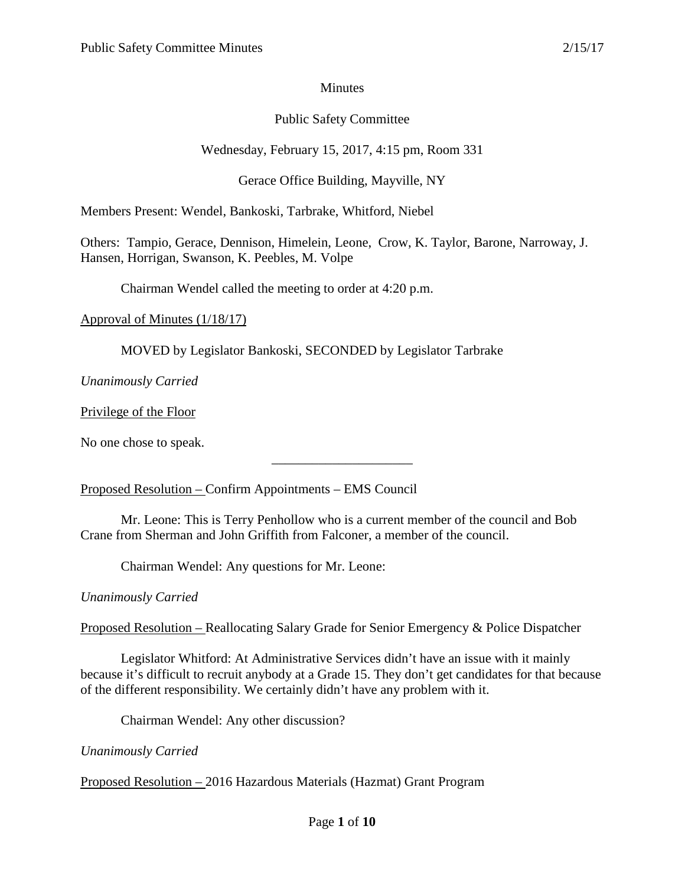### Minutes

# Public Safety Committee

### Wednesday, February 15, 2017, 4:15 pm, Room 331

# Gerace Office Building, Mayville, NY

Members Present: Wendel, Bankoski, Tarbrake, Whitford, Niebel

Others: Tampio, Gerace, Dennison, Himelein, Leone, Crow, K. Taylor, Barone, Narroway, J. Hansen, Horrigan, Swanson, K. Peebles, M. Volpe

Chairman Wendel called the meeting to order at 4:20 p.m.

Approval of Minutes (1/18/17)

MOVED by Legislator Bankoski, SECONDED by Legislator Tarbrake

*Unanimously Carried*

Privilege of the Floor

No one chose to speak.

Proposed Resolution – Confirm Appointments – EMS Council

Mr. Leone: This is Terry Penhollow who is a current member of the council and Bob Crane from Sherman and John Griffith from Falconer, a member of the council.

\_\_\_\_\_\_\_\_\_\_\_\_\_\_\_\_\_\_\_\_\_

Chairman Wendel: Any questions for Mr. Leone:

*Unanimously Carried*

Proposed Resolution – Reallocating Salary Grade for Senior Emergency & Police Dispatcher

Legislator Whitford: At Administrative Services didn't have an issue with it mainly because it's difficult to recruit anybody at a Grade 15. They don't get candidates for that because of the different responsibility. We certainly didn't have any problem with it.

Chairman Wendel: Any other discussion?

*Unanimously Carried*

Proposed Resolution – 2016 Hazardous Materials (Hazmat) Grant Program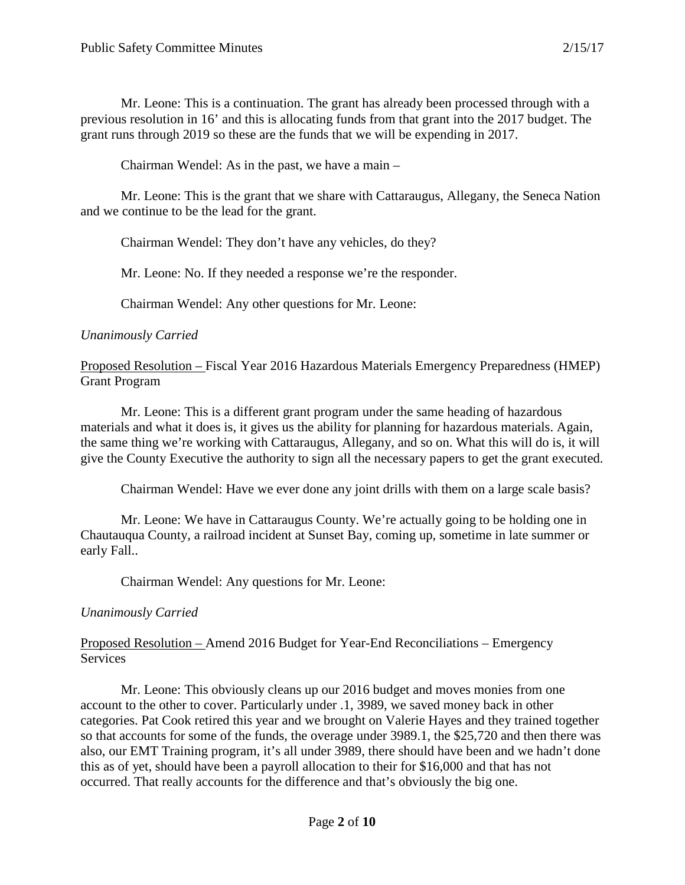Mr. Leone: This is a continuation. The grant has already been processed through with a previous resolution in 16' and this is allocating funds from that grant into the 2017 budget. The grant runs through 2019 so these are the funds that we will be expending in 2017.

Chairman Wendel: As in the past, we have a main –

Mr. Leone: This is the grant that we share with Cattaraugus, Allegany, the Seneca Nation and we continue to be the lead for the grant.

Chairman Wendel: They don't have any vehicles, do they?

Mr. Leone: No. If they needed a response we're the responder.

Chairman Wendel: Any other questions for Mr. Leone:

#### *Unanimously Carried*

Proposed Resolution – Fiscal Year 2016 Hazardous Materials Emergency Preparedness (HMEP) Grant Program

Mr. Leone: This is a different grant program under the same heading of hazardous materials and what it does is, it gives us the ability for planning for hazardous materials. Again, the same thing we're working with Cattaraugus, Allegany, and so on. What this will do is, it will give the County Executive the authority to sign all the necessary papers to get the grant executed.

Chairman Wendel: Have we ever done any joint drills with them on a large scale basis?

Mr. Leone: We have in Cattaraugus County. We're actually going to be holding one in Chautauqua County, a railroad incident at Sunset Bay, coming up, sometime in late summer or early Fall..

Chairman Wendel: Any questions for Mr. Leone:

### *Unanimously Carried*

Proposed Resolution – Amend 2016 Budget for Year-End Reconciliations – Emergency **Services** 

Mr. Leone: This obviously cleans up our 2016 budget and moves monies from one account to the other to cover. Particularly under .1, 3989, we saved money back in other categories. Pat Cook retired this year and we brought on Valerie Hayes and they trained together so that accounts for some of the funds, the overage under 3989.1, the \$25,720 and then there was also, our EMT Training program, it's all under 3989, there should have been and we hadn't done this as of yet, should have been a payroll allocation to their for \$16,000 and that has not occurred. That really accounts for the difference and that's obviously the big one.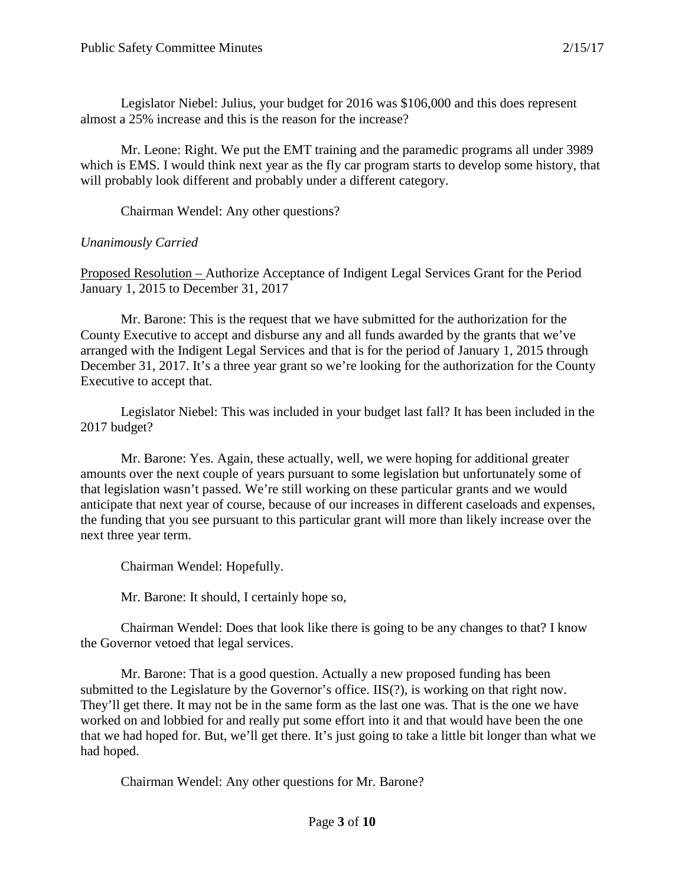Legislator Niebel: Julius, your budget for 2016 was \$106,000 and this does represent almost a 25% increase and this is the reason for the increase?

Mr. Leone: Right. We put the EMT training and the paramedic programs all under 3989 which is EMS. I would think next year as the fly car program starts to develop some history, that will probably look different and probably under a different category.

Chairman Wendel: Any other questions?

#### *Unanimously Carried*

Proposed Resolution – Authorize Acceptance of Indigent Legal Services Grant for the Period January 1, 2015 to December 31, 2017

Mr. Barone: This is the request that we have submitted for the authorization for the County Executive to accept and disburse any and all funds awarded by the grants that we've arranged with the Indigent Legal Services and that is for the period of January 1, 2015 through December 31, 2017. It's a three year grant so we're looking for the authorization for the County Executive to accept that.

Legislator Niebel: This was included in your budget last fall? It has been included in the 2017 budget?

Mr. Barone: Yes. Again, these actually, well, we were hoping for additional greater amounts over the next couple of years pursuant to some legislation but unfortunately some of that legislation wasn't passed. We're still working on these particular grants and we would anticipate that next year of course, because of our increases in different caseloads and expenses, the funding that you see pursuant to this particular grant will more than likely increase over the next three year term.

Chairman Wendel: Hopefully.

Mr. Barone: It should, I certainly hope so,

Chairman Wendel: Does that look like there is going to be any changes to that? I know the Governor vetoed that legal services.

Mr. Barone: That is a good question. Actually a new proposed funding has been submitted to the Legislature by the Governor's office. IIS(?), is working on that right now. They'll get there. It may not be in the same form as the last one was. That is the one we have worked on and lobbied for and really put some effort into it and that would have been the one that we had hoped for. But, we'll get there. It's just going to take a little bit longer than what we had hoped.

Chairman Wendel: Any other questions for Mr. Barone?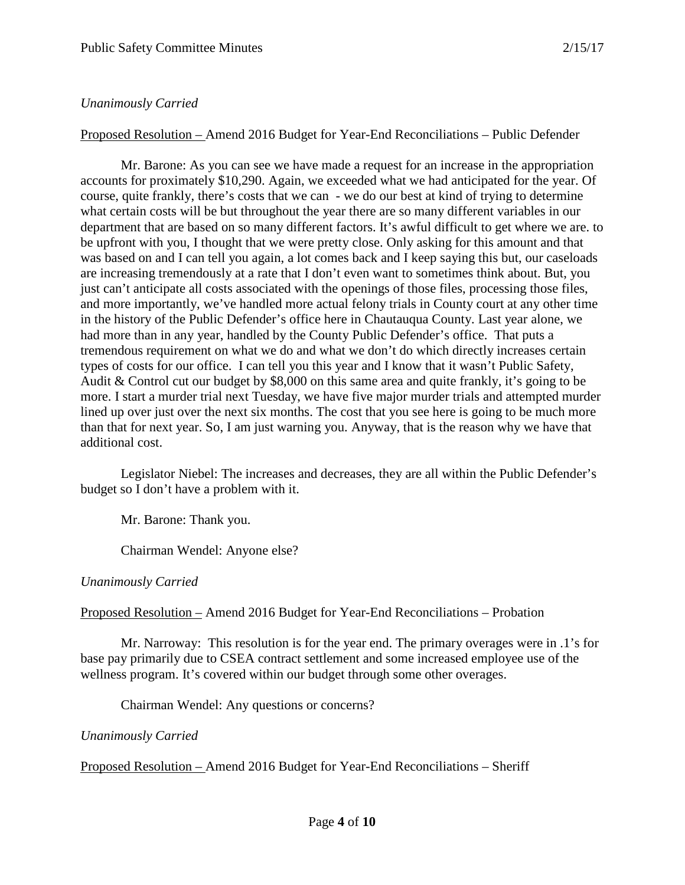### *Unanimously Carried*

Proposed Resolution – Amend 2016 Budget for Year-End Reconciliations – Public Defender

Mr. Barone: As you can see we have made a request for an increase in the appropriation accounts for proximately \$10,290. Again, we exceeded what we had anticipated for the year. Of course, quite frankly, there's costs that we can - we do our best at kind of trying to determine what certain costs will be but throughout the year there are so many different variables in our department that are based on so many different factors. It's awful difficult to get where we are. to be upfront with you, I thought that we were pretty close. Only asking for this amount and that was based on and I can tell you again, a lot comes back and I keep saying this but, our caseloads are increasing tremendously at a rate that I don't even want to sometimes think about. But, you just can't anticipate all costs associated with the openings of those files, processing those files, and more importantly, we've handled more actual felony trials in County court at any other time in the history of the Public Defender's office here in Chautauqua County. Last year alone, we had more than in any year, handled by the County Public Defender's office. That puts a tremendous requirement on what we do and what we don't do which directly increases certain types of costs for our office. I can tell you this year and I know that it wasn't Public Safety, Audit & Control cut our budget by \$8,000 on this same area and quite frankly, it's going to be more. I start a murder trial next Tuesday, we have five major murder trials and attempted murder lined up over just over the next six months. The cost that you see here is going to be much more than that for next year. So, I am just warning you. Anyway, that is the reason why we have that additional cost.

Legislator Niebel: The increases and decreases, they are all within the Public Defender's budget so I don't have a problem with it.

Mr. Barone: Thank you.

Chairman Wendel: Anyone else?

### *Unanimously Carried*

Proposed Resolution – Amend 2016 Budget for Year-End Reconciliations – Probation

Mr. Narroway: This resolution is for the year end. The primary overages were in .1's for base pay primarily due to CSEA contract settlement and some increased employee use of the wellness program. It's covered within our budget through some other overages.

Chairman Wendel: Any questions or concerns?

#### *Unanimously Carried*

Proposed Resolution – Amend 2016 Budget for Year-End Reconciliations – Sheriff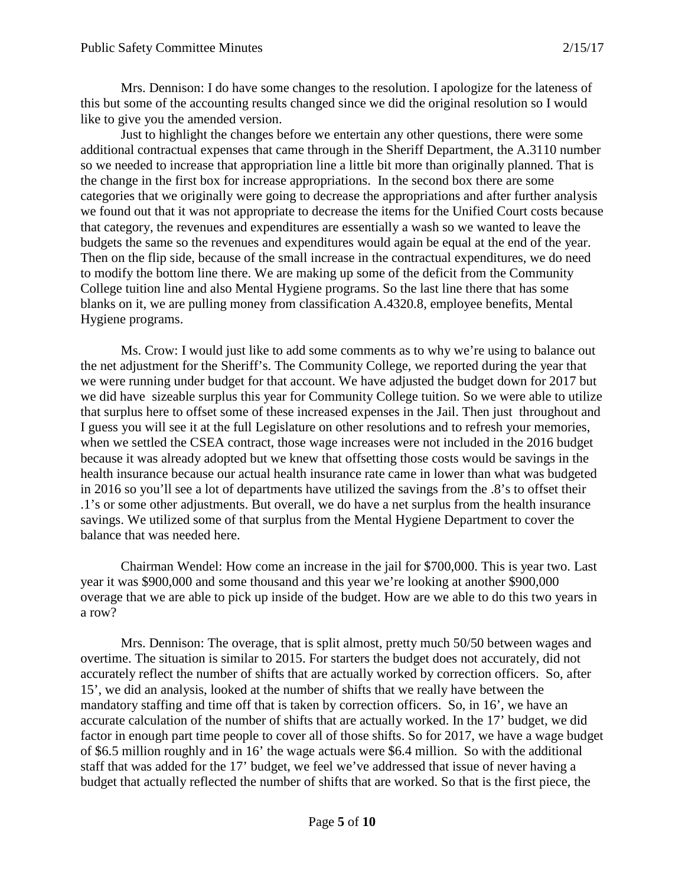Mrs. Dennison: I do have some changes to the resolution. I apologize for the lateness of this but some of the accounting results changed since we did the original resolution so I would like to give you the amended version.

Just to highlight the changes before we entertain any other questions, there were some additional contractual expenses that came through in the Sheriff Department, the A.3110 number so we needed to increase that appropriation line a little bit more than originally planned. That is the change in the first box for increase appropriations. In the second box there are some categories that we originally were going to decrease the appropriations and after further analysis we found out that it was not appropriate to decrease the items for the Unified Court costs because that category, the revenues and expenditures are essentially a wash so we wanted to leave the budgets the same so the revenues and expenditures would again be equal at the end of the year. Then on the flip side, because of the small increase in the contractual expenditures, we do need to modify the bottom line there. We are making up some of the deficit from the Community College tuition line and also Mental Hygiene programs. So the last line there that has some blanks on it, we are pulling money from classification A.4320.8, employee benefits, Mental Hygiene programs.

Ms. Crow: I would just like to add some comments as to why we're using to balance out the net adjustment for the Sheriff's. The Community College, we reported during the year that we were running under budget for that account. We have adjusted the budget down for 2017 but we did have sizeable surplus this year for Community College tuition. So we were able to utilize that surplus here to offset some of these increased expenses in the Jail. Then just throughout and I guess you will see it at the full Legislature on other resolutions and to refresh your memories, when we settled the CSEA contract, those wage increases were not included in the 2016 budget because it was already adopted but we knew that offsetting those costs would be savings in the health insurance because our actual health insurance rate came in lower than what was budgeted in 2016 so you'll see a lot of departments have utilized the savings from the .8's to offset their .1's or some other adjustments. But overall, we do have a net surplus from the health insurance savings. We utilized some of that surplus from the Mental Hygiene Department to cover the balance that was needed here.

Chairman Wendel: How come an increase in the jail for \$700,000. This is year two. Last year it was \$900,000 and some thousand and this year we're looking at another \$900,000 overage that we are able to pick up inside of the budget. How are we able to do this two years in a row?

Mrs. Dennison: The overage, that is split almost, pretty much 50/50 between wages and overtime. The situation is similar to 2015. For starters the budget does not accurately, did not accurately reflect the number of shifts that are actually worked by correction officers. So, after 15', we did an analysis, looked at the number of shifts that we really have between the mandatory staffing and time off that is taken by correction officers. So, in 16', we have an accurate calculation of the number of shifts that are actually worked. In the 17' budget, we did factor in enough part time people to cover all of those shifts. So for 2017, we have a wage budget of \$6.5 million roughly and in 16' the wage actuals were \$6.4 million. So with the additional staff that was added for the 17' budget, we feel we've addressed that issue of never having a budget that actually reflected the number of shifts that are worked. So that is the first piece, the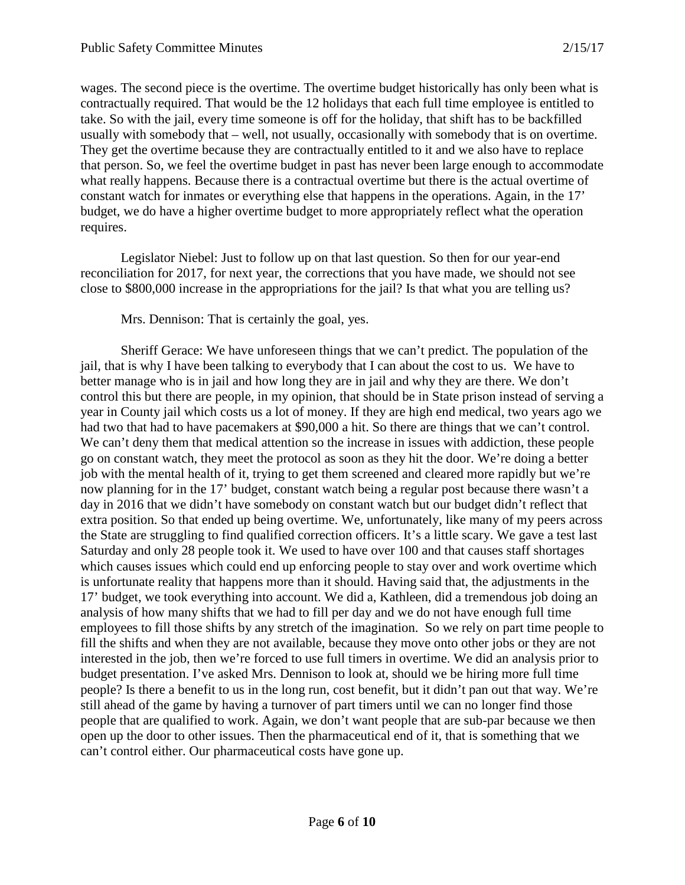wages. The second piece is the overtime. The overtime budget historically has only been what is contractually required. That would be the 12 holidays that each full time employee is entitled to take. So with the jail, every time someone is off for the holiday, that shift has to be backfilled usually with somebody that – well, not usually, occasionally with somebody that is on overtime. They get the overtime because they are contractually entitled to it and we also have to replace that person. So, we feel the overtime budget in past has never been large enough to accommodate what really happens. Because there is a contractual overtime but there is the actual overtime of constant watch for inmates or everything else that happens in the operations. Again, in the 17' budget, we do have a higher overtime budget to more appropriately reflect what the operation requires.

Legislator Niebel: Just to follow up on that last question. So then for our year-end reconciliation for 2017, for next year, the corrections that you have made, we should not see close to \$800,000 increase in the appropriations for the jail? Is that what you are telling us?

Mrs. Dennison: That is certainly the goal, yes.

Sheriff Gerace: We have unforeseen things that we can't predict. The population of the jail, that is why I have been talking to everybody that I can about the cost to us. We have to better manage who is in jail and how long they are in jail and why they are there. We don't control this but there are people, in my opinion, that should be in State prison instead of serving a year in County jail which costs us a lot of money. If they are high end medical, two years ago we had two that had to have pacemakers at \$90,000 a hit. So there are things that we can't control. We can't deny them that medical attention so the increase in issues with addiction, these people go on constant watch, they meet the protocol as soon as they hit the door. We're doing a better job with the mental health of it, trying to get them screened and cleared more rapidly but we're now planning for in the 17' budget, constant watch being a regular post because there wasn't a day in 2016 that we didn't have somebody on constant watch but our budget didn't reflect that extra position. So that ended up being overtime. We, unfortunately, like many of my peers across the State are struggling to find qualified correction officers. It's a little scary. We gave a test last Saturday and only 28 people took it. We used to have over 100 and that causes staff shortages which causes issues which could end up enforcing people to stay over and work overtime which is unfortunate reality that happens more than it should. Having said that, the adjustments in the 17' budget, we took everything into account. We did a, Kathleen, did a tremendous job doing an analysis of how many shifts that we had to fill per day and we do not have enough full time employees to fill those shifts by any stretch of the imagination. So we rely on part time people to fill the shifts and when they are not available, because they move onto other jobs or they are not interested in the job, then we're forced to use full timers in overtime. We did an analysis prior to budget presentation. I've asked Mrs. Dennison to look at, should we be hiring more full time people? Is there a benefit to us in the long run, cost benefit, but it didn't pan out that way. We're still ahead of the game by having a turnover of part timers until we can no longer find those people that are qualified to work. Again, we don't want people that are sub-par because we then open up the door to other issues. Then the pharmaceutical end of it, that is something that we can't control either. Our pharmaceutical costs have gone up.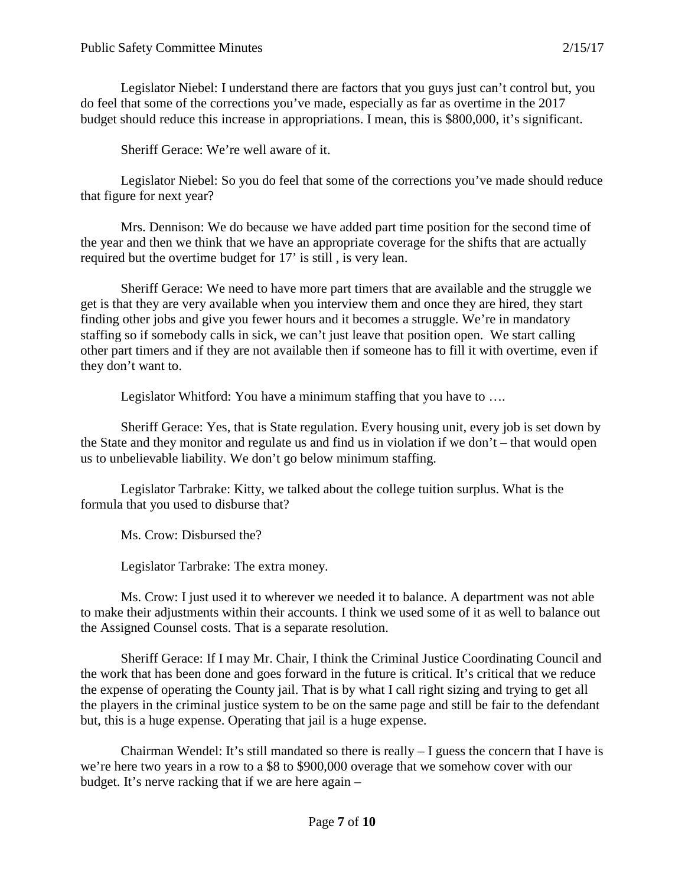Legislator Niebel: I understand there are factors that you guys just can't control but, you do feel that some of the corrections you've made, especially as far as overtime in the 2017 budget should reduce this increase in appropriations. I mean, this is \$800,000, it's significant.

Sheriff Gerace: We're well aware of it.

Legislator Niebel: So you do feel that some of the corrections you've made should reduce that figure for next year?

Mrs. Dennison: We do because we have added part time position for the second time of the year and then we think that we have an appropriate coverage for the shifts that are actually required but the overtime budget for 17' is still , is very lean.

Sheriff Gerace: We need to have more part timers that are available and the struggle we get is that they are very available when you interview them and once they are hired, they start finding other jobs and give you fewer hours and it becomes a struggle. We're in mandatory staffing so if somebody calls in sick, we can't just leave that position open. We start calling other part timers and if they are not available then if someone has to fill it with overtime, even if they don't want to.

Legislator Whitford: You have a minimum staffing that you have to ....

Sheriff Gerace: Yes, that is State regulation. Every housing unit, every job is set down by the State and they monitor and regulate us and find us in violation if we don't – that would open us to unbelievable liability. We don't go below minimum staffing.

Legislator Tarbrake: Kitty, we talked about the college tuition surplus. What is the formula that you used to disburse that?

Ms. Crow: Disbursed the?

Legislator Tarbrake: The extra money.

Ms. Crow: I just used it to wherever we needed it to balance. A department was not able to make their adjustments within their accounts. I think we used some of it as well to balance out the Assigned Counsel costs. That is a separate resolution.

Sheriff Gerace: If I may Mr. Chair, I think the Criminal Justice Coordinating Council and the work that has been done and goes forward in the future is critical. It's critical that we reduce the expense of operating the County jail. That is by what I call right sizing and trying to get all the players in the criminal justice system to be on the same page and still be fair to the defendant but, this is a huge expense. Operating that jail is a huge expense.

Chairman Wendel: It's still mandated so there is really  $-1$  guess the concern that I have is we're here two years in a row to a \$8 to \$900,000 overage that we somehow cover with our budget. It's nerve racking that if we are here again –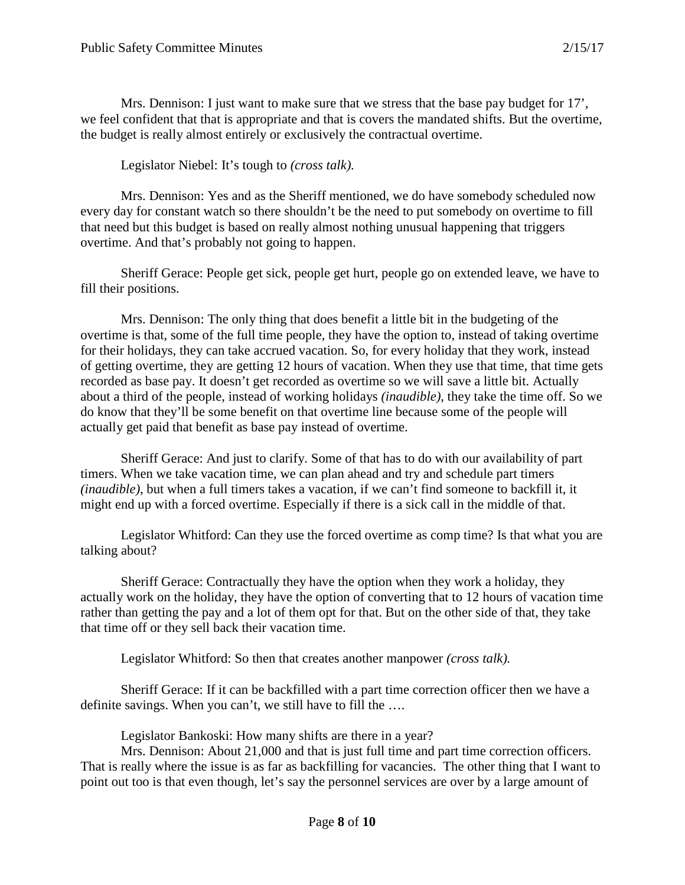Mrs. Dennison: I just want to make sure that we stress that the base pay budget for 17', we feel confident that that is appropriate and that is covers the mandated shifts. But the overtime, the budget is really almost entirely or exclusively the contractual overtime.

Legislator Niebel: It's tough to *(cross talk).*

Mrs. Dennison: Yes and as the Sheriff mentioned, we do have somebody scheduled now every day for constant watch so there shouldn't be the need to put somebody on overtime to fill that need but this budget is based on really almost nothing unusual happening that triggers overtime. And that's probably not going to happen.

Sheriff Gerace: People get sick, people get hurt, people go on extended leave, we have to fill their positions.

Mrs. Dennison: The only thing that does benefit a little bit in the budgeting of the overtime is that, some of the full time people, they have the option to, instead of taking overtime for their holidays, they can take accrued vacation. So, for every holiday that they work, instead of getting overtime, they are getting 12 hours of vacation. When they use that time, that time gets recorded as base pay. It doesn't get recorded as overtime so we will save a little bit. Actually about a third of the people, instead of working holidays *(inaudible)*, they take the time off. So we do know that they'll be some benefit on that overtime line because some of the people will actually get paid that benefit as base pay instead of overtime.

Sheriff Gerace: And just to clarify. Some of that has to do with our availability of part timers. When we take vacation time, we can plan ahead and try and schedule part timers *(inaudible)*, but when a full timers takes a vacation, if we can't find someone to backfill it, it might end up with a forced overtime. Especially if there is a sick call in the middle of that.

Legislator Whitford: Can they use the forced overtime as comp time? Is that what you are talking about?

Sheriff Gerace: Contractually they have the option when they work a holiday, they actually work on the holiday, they have the option of converting that to 12 hours of vacation time rather than getting the pay and a lot of them opt for that. But on the other side of that, they take that time off or they sell back their vacation time.

Legislator Whitford: So then that creates another manpower *(cross talk).*

Sheriff Gerace: If it can be backfilled with a part time correction officer then we have a definite savings. When you can't, we still have to fill the ….

Legislator Bankoski: How many shifts are there in a year?

Mrs. Dennison: About 21,000 and that is just full time and part time correction officers. That is really where the issue is as far as backfilling for vacancies. The other thing that I want to point out too is that even though, let's say the personnel services are over by a large amount of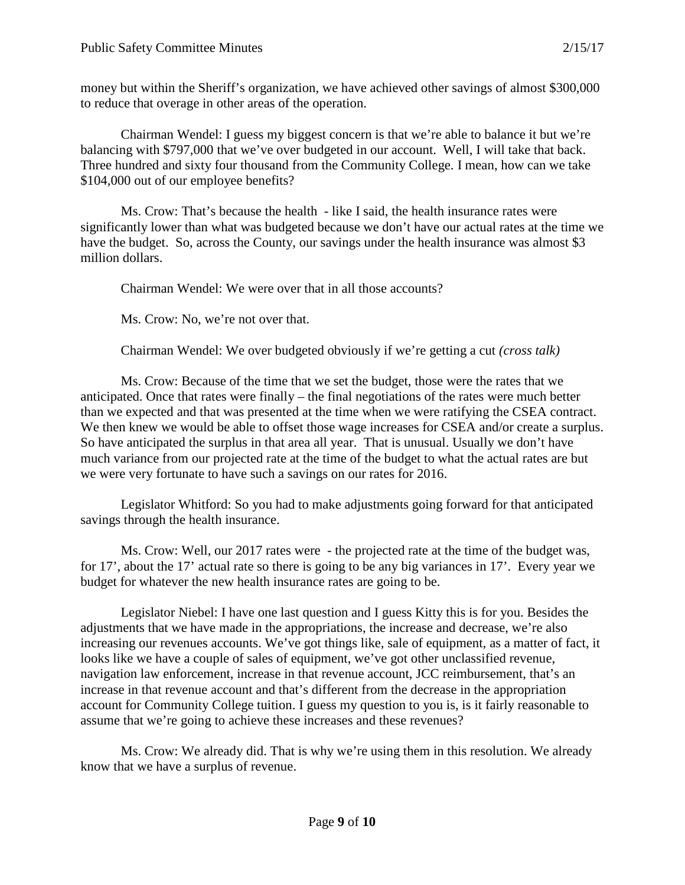money but within the Sheriff's organization, we have achieved other savings of almost \$300,000 to reduce that overage in other areas of the operation.

Chairman Wendel: I guess my biggest concern is that we're able to balance it but we're balancing with \$797,000 that we've over budgeted in our account. Well, I will take that back. Three hundred and sixty four thousand from the Community College. I mean, how can we take \$104,000 out of our employee benefits?

Ms. Crow: That's because the health - like I said, the health insurance rates were significantly lower than what was budgeted because we don't have our actual rates at the time we have the budget. So, across the County, our savings under the health insurance was almost \$3 million dollars.

Chairman Wendel: We were over that in all those accounts?

Ms. Crow: No, we're not over that.

Chairman Wendel: We over budgeted obviously if we're getting a cut *(cross talk)*

Ms. Crow: Because of the time that we set the budget, those were the rates that we anticipated. Once that rates were finally – the final negotiations of the rates were much better than we expected and that was presented at the time when we were ratifying the CSEA contract. We then knew we would be able to offset those wage increases for CSEA and/or create a surplus. So have anticipated the surplus in that area all year. That is unusual. Usually we don't have much variance from our projected rate at the time of the budget to what the actual rates are but we were very fortunate to have such a savings on our rates for 2016.

Legislator Whitford: So you had to make adjustments going forward for that anticipated savings through the health insurance.

Ms. Crow: Well, our 2017 rates were - the projected rate at the time of the budget was, for 17', about the 17' actual rate so there is going to be any big variances in 17'. Every year we budget for whatever the new health insurance rates are going to be.

Legislator Niebel: I have one last question and I guess Kitty this is for you. Besides the adjustments that we have made in the appropriations, the increase and decrease, we're also increasing our revenues accounts. We've got things like, sale of equipment, as a matter of fact, it looks like we have a couple of sales of equipment, we've got other unclassified revenue, navigation law enforcement, increase in that revenue account, JCC reimbursement, that's an increase in that revenue account and that's different from the decrease in the appropriation account for Community College tuition. I guess my question to you is, is it fairly reasonable to assume that we're going to achieve these increases and these revenues?

Ms. Crow: We already did. That is why we're using them in this resolution. We already know that we have a surplus of revenue.